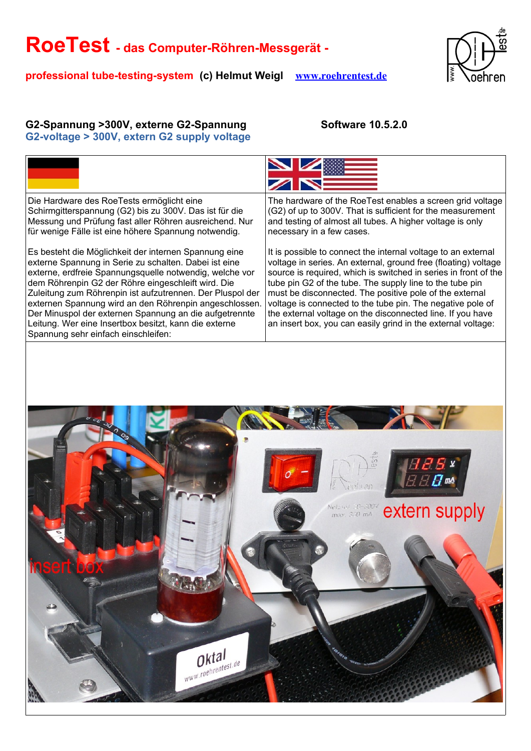**professional tube-testing-system (c) Helmut Weigl [www.roehrentest.de](http://www.roehrentest.de/)**



### G2-Spannung >300V, externe G2-Spannung **Software 10.5.2.0 G2-voltage > 300V, extern G2 supply voltage**

| Die Hardware des RoeTests ermöglicht eine<br>Schirmgitterspannung (G2) bis zu 300V. Das ist für die<br>Messung und Prüfung fast aller Röhren ausreichend. Nur<br>für wenige Fälle ist eine höhere Spannung notwendig.                                                                                                                                                                                                                                                                                            | The hardware of the RoeTest enables a screen grid voltage<br>(G2) of up to 300V. That is sufficient for the measurement<br>and testing of almost all tubes. A higher voltage is only<br>necessary in a few cases.                                                                                                                                                                                                                                                                                                     |
|------------------------------------------------------------------------------------------------------------------------------------------------------------------------------------------------------------------------------------------------------------------------------------------------------------------------------------------------------------------------------------------------------------------------------------------------------------------------------------------------------------------|-----------------------------------------------------------------------------------------------------------------------------------------------------------------------------------------------------------------------------------------------------------------------------------------------------------------------------------------------------------------------------------------------------------------------------------------------------------------------------------------------------------------------|
| Es besteht die Möglichkeit der internen Spannung eine<br>externe Spannung in Serie zu schalten. Dabei ist eine<br>externe, erdfreie Spannungsquelle notwendig, welche vor<br>dem Röhrenpin G2 der Röhre eingeschleift wird. Die<br>Zuleitung zum Röhrenpin ist aufzutrennen. Der Pluspol der<br>externen Spannung wird an den Röhrenpin angeschlossen.<br>Der Minuspol der externen Spannung an die aufgetrennte<br>Leitung. Wer eine Insertbox besitzt, kann die externe<br>Spannung sehr einfach einschleifen: | It is possible to connect the internal voltage to an external<br>voltage in series. An external, ground free (floating) voltage<br>source is required, which is switched in series in front of the<br>tube pin G2 of the tube. The supply line to the tube pin<br>must be disconnected. The positive pole of the external<br>voltage is connected to the tube pin. The negative pole of<br>the external voltage on the disconnected line. If you have<br>an insert box, you can easily grind in the external voltage: |
|                                                                                                                                                                                                                                                                                                                                                                                                                                                                                                                  |                                                                                                                                                                                                                                                                                                                                                                                                                                                                                                                       |
|                                                                                                                                                                                                                                                                                                                                                                                                                                                                                                                  |                                                                                                                                                                                                                                                                                                                                                                                                                                                                                                                       |
|                                                                                                                                                                                                                                                                                                                                                                                                                                                                                                                  | Netzion 30-300V<br>max. 300 mA<br>extern supply                                                                                                                                                                                                                                                                                                                                                                                                                                                                       |
|                                                                                                                                                                                                                                                                                                                                                                                                                                                                                                                  |                                                                                                                                                                                                                                                                                                                                                                                                                                                                                                                       |

Oktal *Oktal*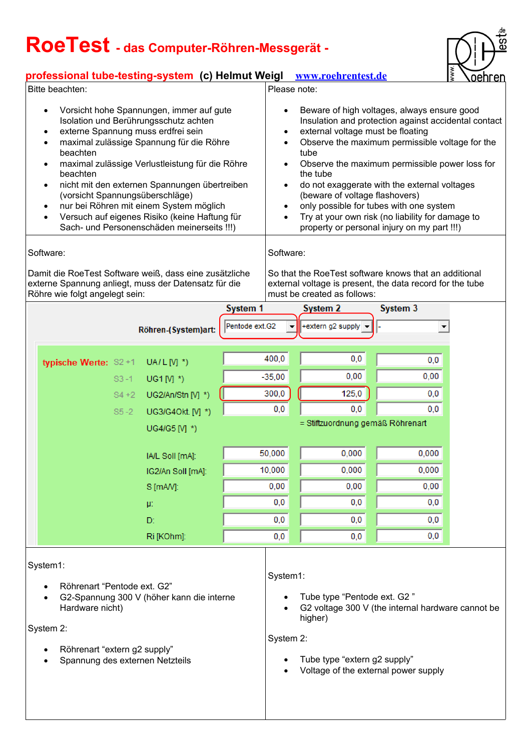### **professional tube-testing-system (c) Helmut Weigl [www.roehrentest.de](http://www.roehrentest.de/)**

este<br>es

| Bitte beachten:                                                                                                                                                                                                                                                                                                                                                                                                                                                                                                                               |                      |                     | <u>MM M.L OUIN UNIUSIAU</u><br><u>IS VUCIII CII</u><br>Please note: |                                                                                                                                                                                                                                                                                                                                                                                                                                                                                                                                                                              |                                                                                                                                         |                                                   |  |  |  |  |
|-----------------------------------------------------------------------------------------------------------------------------------------------------------------------------------------------------------------------------------------------------------------------------------------------------------------------------------------------------------------------------------------------------------------------------------------------------------------------------------------------------------------------------------------------|----------------------|---------------------|---------------------------------------------------------------------|------------------------------------------------------------------------------------------------------------------------------------------------------------------------------------------------------------------------------------------------------------------------------------------------------------------------------------------------------------------------------------------------------------------------------------------------------------------------------------------------------------------------------------------------------------------------------|-----------------------------------------------------------------------------------------------------------------------------------------|---------------------------------------------------|--|--|--|--|
| Vorsicht hohe Spannungen, immer auf gute<br>Isolation und Berührungsschutz achten<br>externe Spannung muss erdfrei sein<br>$\bullet$<br>maximal zulässige Spannung für die Röhre<br>$\bullet$<br>beachten<br>maximal zulässige Verlustleistung für die Röhre<br>$\bullet$<br>beachten<br>nicht mit den externen Spannungen übertreiben<br>$\bullet$<br>(vorsicht Spannungsüberschläge)<br>nur bei Röhren mit einem System möglich<br>$\bullet$<br>Versuch auf eigenes Risiko (keine Haftung für<br>Sach- und Personenschäden meinerseits !!!) |                      |                     |                                                                     | Beware of high voltages, always ensure good<br>$\bullet$<br>Insulation and protection against accidental contact<br>external voltage must be floating<br>$\bullet$<br>Observe the maximum permissible voltage for the<br>$\bullet$<br>tube<br>Observe the maximum permissible power loss for<br>٠<br>the tube<br>do not exaggerate with the external voltages<br>٠<br>(beware of voltage flashovers)<br>only possible for tubes with one system<br>$\bullet$<br>Try at your own risk (no liability for damage to<br>$\bullet$<br>property or personal injury on my part !!!) |                                                                                                                                         |                                                   |  |  |  |  |
| Software:                                                                                                                                                                                                                                                                                                                                                                                                                                                                                                                                     |                      |                     |                                                                     | Software:                                                                                                                                                                                                                                                                                                                                                                                                                                                                                                                                                                    |                                                                                                                                         |                                                   |  |  |  |  |
| Damit die RoeTest Software weiß, dass eine zusätzliche<br>externe Spannung anliegt, muss der Datensatz für die<br>Röhre wie folgt angelegt sein:                                                                                                                                                                                                                                                                                                                                                                                              |                      |                     |                                                                     | So that the RoeTest software knows that an additional<br>external voltage is present, the data record for the tube<br>must be created as follows:                                                                                                                                                                                                                                                                                                                                                                                                                            |                                                                                                                                         |                                                   |  |  |  |  |
|                                                                                                                                                                                                                                                                                                                                                                                                                                                                                                                                               |                      |                     | <b>System 1</b>                                                     |                                                                                                                                                                                                                                                                                                                                                                                                                                                                                                                                                                              | <b>System 2</b>                                                                                                                         | <b>System 3</b>                                   |  |  |  |  |
|                                                                                                                                                                                                                                                                                                                                                                                                                                                                                                                                               |                      | Röhren (System)art: | Pentode ext.G2                                                      |                                                                                                                                                                                                                                                                                                                                                                                                                                                                                                                                                                              | +extern g2 supply                                                                                                                       |                                                   |  |  |  |  |
|                                                                                                                                                                                                                                                                                                                                                                                                                                                                                                                                               |                      |                     |                                                                     |                                                                                                                                                                                                                                                                                                                                                                                                                                                                                                                                                                              |                                                                                                                                         |                                                   |  |  |  |  |
|                                                                                                                                                                                                                                                                                                                                                                                                                                                                                                                                               | typische Werte: S2+1 | UA/L $[M^*]$        |                                                                     | 400,0                                                                                                                                                                                                                                                                                                                                                                                                                                                                                                                                                                        | 0,0                                                                                                                                     | 0,0                                               |  |  |  |  |
|                                                                                                                                                                                                                                                                                                                                                                                                                                                                                                                                               | $S3 - 1$             | UG1 $[N]$ *)        |                                                                     | $-35,00$                                                                                                                                                                                                                                                                                                                                                                                                                                                                                                                                                                     | 0,00                                                                                                                                    | 0,00                                              |  |  |  |  |
|                                                                                                                                                                                                                                                                                                                                                                                                                                                                                                                                               | $S4+2$               | UG2/An/Stn [V] *)   |                                                                     | 300,0                                                                                                                                                                                                                                                                                                                                                                                                                                                                                                                                                                        | 125,0                                                                                                                                   | 0,0                                               |  |  |  |  |
|                                                                                                                                                                                                                                                                                                                                                                                                                                                                                                                                               | $S5 - 2$             | UG3/G4Okt. [V] *)   |                                                                     | 0,0                                                                                                                                                                                                                                                                                                                                                                                                                                                                                                                                                                          | 0,0                                                                                                                                     | 0,0                                               |  |  |  |  |
|                                                                                                                                                                                                                                                                                                                                                                                                                                                                                                                                               |                      | UG4/G5 [V] *)       |                                                                     |                                                                                                                                                                                                                                                                                                                                                                                                                                                                                                                                                                              | = Stiftzuordnung gemäß Röhrenart                                                                                                        |                                                   |  |  |  |  |
|                                                                                                                                                                                                                                                                                                                                                                                                                                                                                                                                               |                      |                     |                                                                     |                                                                                                                                                                                                                                                                                                                                                                                                                                                                                                                                                                              |                                                                                                                                         |                                                   |  |  |  |  |
|                                                                                                                                                                                                                                                                                                                                                                                                                                                                                                                                               |                      | IA/L Soll [mA]:     |                                                                     | 50,000                                                                                                                                                                                                                                                                                                                                                                                                                                                                                                                                                                       | 0,000                                                                                                                                   | 0,000                                             |  |  |  |  |
|                                                                                                                                                                                                                                                                                                                                                                                                                                                                                                                                               |                      | IG2/An Soll [mA]:   |                                                                     | 10,000                                                                                                                                                                                                                                                                                                                                                                                                                                                                                                                                                                       | 0,000                                                                                                                                   | 0,000                                             |  |  |  |  |
|                                                                                                                                                                                                                                                                                                                                                                                                                                                                                                                                               |                      | S [mAV]:            |                                                                     | 0,00                                                                                                                                                                                                                                                                                                                                                                                                                                                                                                                                                                         | 0,00                                                                                                                                    | 0,00                                              |  |  |  |  |
|                                                                                                                                                                                                                                                                                                                                                                                                                                                                                                                                               |                      | μ:                  |                                                                     | 0,0                                                                                                                                                                                                                                                                                                                                                                                                                                                                                                                                                                          | $_{0,0}$                                                                                                                                | $_{0,0}$                                          |  |  |  |  |
|                                                                                                                                                                                                                                                                                                                                                                                                                                                                                                                                               |                      | D:                  |                                                                     | 0,0                                                                                                                                                                                                                                                                                                                                                                                                                                                                                                                                                                          | 0,0                                                                                                                                     | 0,0                                               |  |  |  |  |
|                                                                                                                                                                                                                                                                                                                                                                                                                                                                                                                                               |                      | Ri [KOhm]:          |                                                                     | 0,0                                                                                                                                                                                                                                                                                                                                                                                                                                                                                                                                                                          | 0,0                                                                                                                                     | 0,0                                               |  |  |  |  |
| System1:<br>Röhrenart "Pentode ext. G2"<br>G2-Spannung 300 V (höher kann die interne<br>Hardware nicht)<br>System 2:<br>Röhrenart "extern g2 supply"<br>Spannung des externen Netzteils                                                                                                                                                                                                                                                                                                                                                       |                      |                     |                                                                     |                                                                                                                                                                                                                                                                                                                                                                                                                                                                                                                                                                              | System1:<br>Tube type "Pentode ext. G2"<br>higher)<br>System 2:<br>Tube type "extern g2 supply"<br>Voltage of the external power supply | G2 voltage 300 V (the internal hardware cannot be |  |  |  |  |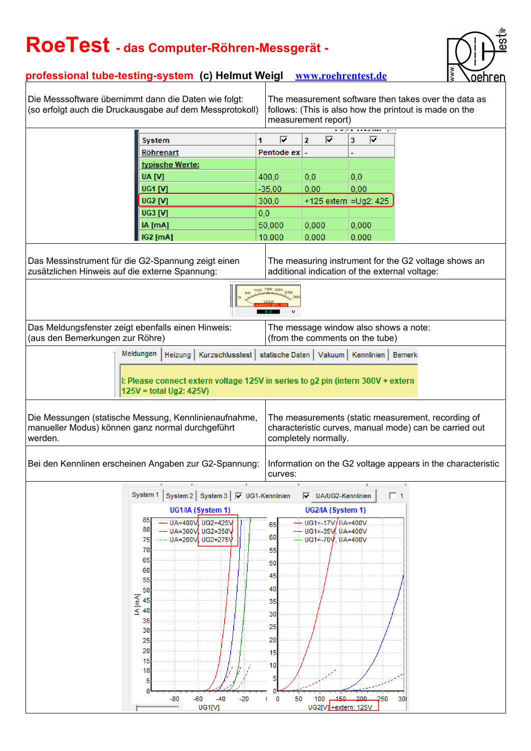

### **professional tube-testing-system (c) Helmut Weigl [www.roehrentest.de](http://www.roehrentest.de/)**

Die Messsoftware übernimmt dann die Daten wie folgt: (so erfolgt auch die Druckausgabe auf dem Messprotokoll)

The measurement software then takes over the data as follows: (This is also how the printout is made on the measurement report)

|                                                                                                                                                                                                                                                              |                                     |                 |                                                           |   | ilicasulciliciil icport                                                  |                        |                                                               |              |     |          |
|--------------------------------------------------------------------------------------------------------------------------------------------------------------------------------------------------------------------------------------------------------------|-------------------------------------|-----------------|-----------------------------------------------------------|---|--------------------------------------------------------------------------|------------------------|---------------------------------------------------------------|--------------|-----|----------|
|                                                                                                                                                                                                                                                              | <b>System</b>                       |                 |                                                           | 1 | $\Box$                                                                   | 2.                     | Е                                                             | з            | Е   |          |
|                                                                                                                                                                                                                                                              | Röhrenart                           |                 |                                                           |   | Pentode ex                                                               |                        |                                                               |              |     |          |
|                                                                                                                                                                                                                                                              |                                     | typische Werte: |                                                           |   |                                                                          |                        |                                                               |              |     |          |
|                                                                                                                                                                                                                                                              | UA [V]                              |                 |                                                           |   | 400,0                                                                    | $_{0,0}$               |                                                               | 0,0          |     |          |
|                                                                                                                                                                                                                                                              | UG1 [V]                             |                 |                                                           |   | $-35,00$                                                                 | 0,00                   |                                                               | 0,00         |     |          |
|                                                                                                                                                                                                                                                              | <b>UG2 [V]</b>                      |                 |                                                           |   | 300,0                                                                    | +125 extern = Ug2: 425 |                                                               |              |     |          |
|                                                                                                                                                                                                                                                              | UG3 [V]                             |                 |                                                           |   | 0,0                                                                      |                        |                                                               |              |     |          |
|                                                                                                                                                                                                                                                              | IA [mA]                             |                 |                                                           |   | 50,000                                                                   | 0,000                  |                                                               | 0,000        |     |          |
|                                                                                                                                                                                                                                                              | <b>IG2</b> [mA]                     |                 |                                                           |   | 10,000                                                                   | 0,000                  |                                                               | 0,000        |     |          |
| Das Messinstrument für die G2-Spannung zeigt einen<br>The measuring instrument for the G2 voltage shows an<br>additional indication of the external voltage:<br>zusätzlichen Hinweis auf die externe Spannung:<br>100 <sup>150</sup> 200<br>250              |                                     |                 |                                                           |   |                                                                          |                        |                                                               |              |     |          |
|                                                                                                                                                                                                                                                              |                                     |                 |                                                           |   |                                                                          |                        |                                                               |              |     |          |
| Das Meldungsfenster zeigt ebenfalls einen Hinweis:<br>(aus den Bemerkungen zur Röhre)                                                                                                                                                                        |                                     |                 |                                                           |   | The message window also shows a note:<br>(from the comments on the tube) |                        |                                                               |              |     |          |
|                                                                                                                                                                                                                                                              | Meldungen                           |                 |                                                           |   |                                                                          |                        |                                                               |              |     |          |
| Heizung   Kurzschlusstest   statische Daten   Vakuum   Kennlinien   Bemerki<br>I: Please connect extern voltage 125V in series to g2 pin (intern 300V + extern<br>125V = total Ug2: 425V)                                                                    |                                     |                 |                                                           |   |                                                                          |                        |                                                               |              |     |          |
| Die Messungen (statische Messung, Kennlinienaufnahme,<br>The measurements (static measurement, recording of<br>manueller Modus) können ganz normal durchgeführt<br>characteristic curves, manual mode) can be carried out<br>completely normally.<br>werden. |                                     |                 |                                                           |   |                                                                          |                        |                                                               |              |     |          |
| Bei den Kennlinen erscheinen Angaben zur G2-Spannung:<br>Information on the G2 voltage appears in the characteristic<br>curves:                                                                                                                              |                                     |                 |                                                           |   |                                                                          |                        |                                                               |              |     |          |
|                                                                                                                                                                                                                                                              |                                     |                 |                                                           |   |                                                                          |                        |                                                               |              |     |          |
|                                                                                                                                                                                                                                                              | System 1                            |                 | System 2 System 3   □ UG1-Kennlinien                      |   |                                                                          |                        | V UA/UG2-Kennlinien                                           |              |     | $\Box$ 1 |
|                                                                                                                                                                                                                                                              |                                     |                 | UG1/IA (System 1)                                         |   | UG2/IA (System 1)                                                        |                        |                                                               |              |     |          |
|                                                                                                                                                                                                                                                              | $85 -$<br>80<br>75<br>70            |                 | UA=400V UG2=425V<br>10A=300V UG2=350V<br>UA=200V UG2=275V |   | 65<br>60<br>55                                                           |                        | - UG1≕17V/UA=400V<br>— UG1≕-35V, UA=400V<br>UG1=-70V, UA=400V |              |     |          |
|                                                                                                                                                                                                                                                              | 65<br>60<br>55                      |                 |                                                           |   | 50<br>45                                                                 |                        |                                                               |              |     |          |
|                                                                                                                                                                                                                                                              | 50<br>$K = 45$ $K = 40$<br>35<br>30 |                 |                                                           |   | 40<br>35<br>30<br>25                                                     |                        |                                                               |              |     |          |
|                                                                                                                                                                                                                                                              | 25<br>20<br>15<br>10<br>5           |                 |                                                           |   | 20<br>15<br>10                                                           |                        |                                                               |              |     |          |
| $-60$<br>$-40$<br>-80<br>$-20$<br>UG1M                                                                                                                                                                                                                       |                                     |                 |                                                           |   | $\bf{0}$<br>50<br>и                                                      | 100                    | UG2[V] + extern: 125V                                         | $-450 - 200$ | 250 | 30       |